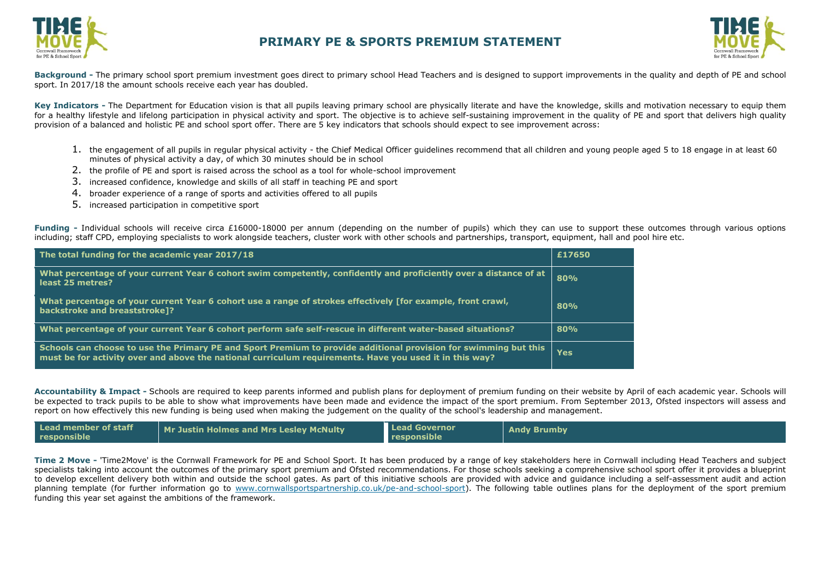



**Background -** The primary school sport premium investment goes direct to primary school Head Teachers and is designed to support improvements in the quality and depth of PE and school sport. In 2017/18 the amount schools receive each year has doubled.

Key Indicators - The Department for Education vision is that all pupils leaving primary school are physically literate and have the knowledge, skills and motivation necessary to equip them for a healthy lifestyle and lifelong participation in physical activity and sport. The objective is to achieve self-sustaining improvement in the quality of PE and sport that delivers high quality provision of a balanced and holistic PE and school sport offer. There are 5 key indicators that schools should expect to see improvement across:

- 1. the engagement of all pupils in regular physical activity the Chief Medical Officer guidelines recommend that all children and young people aged 5 to 18 engage in at least 60 minutes of physical activity a day, of which 30 minutes should be in school
- 2. the profile of PE and sport is raised across the school as a tool for whole-school improvement
- 3. increased confidence, knowledge and skills of all staff in teaching PE and sport
- 4. broader experience of a range of sports and activities offered to all pupils
- 5. increased participation in competitive sport

**Funding -** Individual schools will receive circa £16000-18000 per annum (depending on the number of pupils) which they can use to support these outcomes through various options including; staff CPD, employing specialists to work alongside teachers, cluster work with other schools and partnerships, transport, equipment, hall and pool hire etc.

| The total funding for the academic year 2017/18                                                                                                                                                                             | £17650 |
|-----------------------------------------------------------------------------------------------------------------------------------------------------------------------------------------------------------------------------|--------|
| What percentage of your current Year 6 cohort swim competently, confidently and proficiently over a distance of at<br>least 25 metres?                                                                                      | 80%    |
| What percentage of your current Year 6 cohort use a range of strokes effectively [for example, front crawl,<br>backstroke and breaststroke]?                                                                                | 80%    |
| What percentage of your current Year 6 cohort perform safe self-rescue in different water-based situations?                                                                                                                 | 80%    |
| Schools can choose to use the Primary PE and Sport Premium to provide additional provision for swimming but this<br>must be for activity over and above the national curriculum requirements. Have you used it in this way? | Yes    |

**Accountability & Impact -** Schools are required to keep parents informed and publish plans for deployment of premium funding on their website by April of each academic year. Schools will be expected to track pupils to be able to show what improvements have been made and [evidence the impact o](http://www.cornwallsportspartnership.co.uk/)f the sport premium. From September 2013, [Ofsted](http://www.ofsted.gov.uk/inspection-reports/our-expert-knowledge/physical-education) inspectors will assess and report on how effectively this new funding is being used when making the judgement on the quality of the school's leadership and management.

| Lead member of staff<br>responsible | Mr Justin Holmes and Mrs Lesley McNulty | <b>Lead Governor</b><br>responsible | <b>Andy Brumby</b> |
|-------------------------------------|-----------------------------------------|-------------------------------------|--------------------|
|-------------------------------------|-----------------------------------------|-------------------------------------|--------------------|

**Time 2 Move -** 'Time2Move' is the Cornwall Framework for PE and School Sport. It has been produced by a range of key stakeholders here in Cornwall including Head Teachers and subject specialists taking into account the outcomes of the primary sport premium and Ofsted recommendations. For those schools seeking a comprehensive school sport offer it provides a blueprint to develop excellent delivery both within and outside the school gates. As part of this initiative schools are provided with advice and guidance including a self-assessment audit and action planning template (for further information go to [www.cornwallsportspartnership.co.uk/pe-and-school-sport\)](http://www.cornwallsportspartnership.co.uk/pe-and-school-sport). The following table outlines plans for the deployment of the sport premium funding this year set against the ambitions of the framework.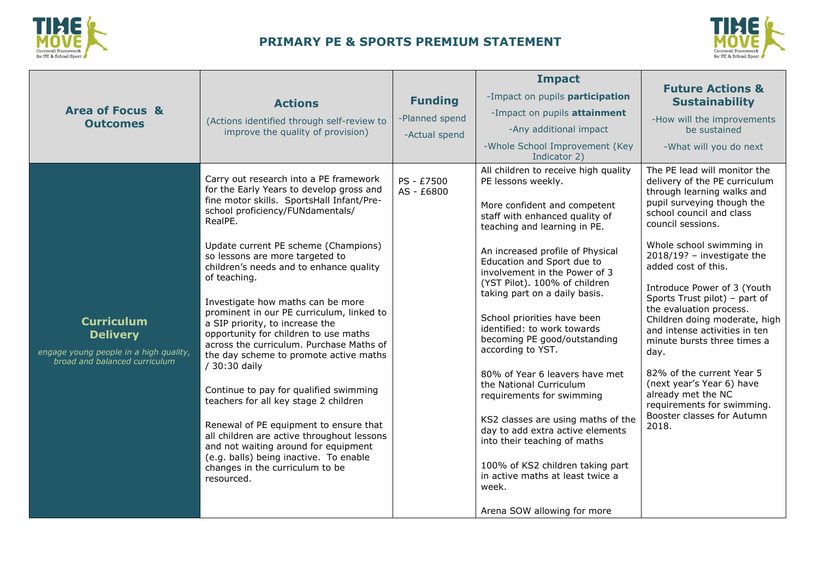



|                                                                                                                 |                                                                                                                                                                                                                                                                                                                                                                                                                                                                                                                                                                                                                                                                                                                                                                                                                                                                                                         |                          | <b>Impact</b>                                                                                                                                                                                                                                                                                                                                                                                                                                                                                                                                                                                                                                                                                                                                                            |                                                                                                                                                                                                                                                                                                                                                                                                                                                                                                                                                                                                                         |
|-----------------------------------------------------------------------------------------------------------------|---------------------------------------------------------------------------------------------------------------------------------------------------------------------------------------------------------------------------------------------------------------------------------------------------------------------------------------------------------------------------------------------------------------------------------------------------------------------------------------------------------------------------------------------------------------------------------------------------------------------------------------------------------------------------------------------------------------------------------------------------------------------------------------------------------------------------------------------------------------------------------------------------------|--------------------------|--------------------------------------------------------------------------------------------------------------------------------------------------------------------------------------------------------------------------------------------------------------------------------------------------------------------------------------------------------------------------------------------------------------------------------------------------------------------------------------------------------------------------------------------------------------------------------------------------------------------------------------------------------------------------------------------------------------------------------------------------------------------------|-------------------------------------------------------------------------------------------------------------------------------------------------------------------------------------------------------------------------------------------------------------------------------------------------------------------------------------------------------------------------------------------------------------------------------------------------------------------------------------------------------------------------------------------------------------------------------------------------------------------------|
|                                                                                                                 | <b>Actions</b>                                                                                                                                                                                                                                                                                                                                                                                                                                                                                                                                                                                                                                                                                                                                                                                                                                                                                          | <b>Funding</b>           | -Impact on pupils participation                                                                                                                                                                                                                                                                                                                                                                                                                                                                                                                                                                                                                                                                                                                                          | <b>Future Actions &amp;</b><br><b>Sustainability</b>                                                                                                                                                                                                                                                                                                                                                                                                                                                                                                                                                                    |
| <b>Area of Focus &amp;</b><br><b>Outcomes</b>                                                                   | (Actions identified through self-review to                                                                                                                                                                                                                                                                                                                                                                                                                                                                                                                                                                                                                                                                                                                                                                                                                                                              | -Planned spend           | -Impact on pupils attainment                                                                                                                                                                                                                                                                                                                                                                                                                                                                                                                                                                                                                                                                                                                                             | -How will the improvements                                                                                                                                                                                                                                                                                                                                                                                                                                                                                                                                                                                              |
|                                                                                                                 | improve the quality of provision)                                                                                                                                                                                                                                                                                                                                                                                                                                                                                                                                                                                                                                                                                                                                                                                                                                                                       | -Actual spend            | -Any additional impact<br>-Whole School Improvement (Key                                                                                                                                                                                                                                                                                                                                                                                                                                                                                                                                                                                                                                                                                                                 | be sustained<br>-What will you do next                                                                                                                                                                                                                                                                                                                                                                                                                                                                                                                                                                                  |
|                                                                                                                 |                                                                                                                                                                                                                                                                                                                                                                                                                                                                                                                                                                                                                                                                                                                                                                                                                                                                                                         |                          | Indicator 2)                                                                                                                                                                                                                                                                                                                                                                                                                                                                                                                                                                                                                                                                                                                                                             |                                                                                                                                                                                                                                                                                                                                                                                                                                                                                                                                                                                                                         |
| <b>Curriculum</b><br><b>Delivery</b><br>engage young people in a high quality,<br>broad and balanced curriculum | Carry out research into a PE framework<br>for the Early Years to develop gross and<br>fine motor skills. SportsHall Infant/Pre-<br>school proficiency/FUNdamentals/<br>RealPE.<br>Update current PE scheme (Champions)<br>so lessons are more targeted to<br>children's needs and to enhance quality<br>of teaching.<br>Investigate how maths can be more<br>prominent in our PE curriculum, linked to<br>a SIP priority, to increase the<br>opportunity for children to use maths<br>across the curriculum. Purchase Maths of<br>the day scheme to promote active maths<br>/ 30:30 daily<br>Continue to pay for qualified swimming<br>teachers for all key stage 2 children<br>Renewal of PE equipment to ensure that<br>all children are active throughout lessons<br>and not waiting around for equipment<br>(e.g. balls) being inactive. To enable<br>changes in the curriculum to be<br>resourced. | PS - £7500<br>AS - £6800 | All children to receive high quality<br>PE lessons weekly.<br>More confident and competent<br>staff with enhanced quality of<br>teaching and learning in PE.<br>An increased profile of Physical<br>Education and Sport due to<br>involvement in the Power of 3<br>(YST Pilot). 100% of children<br>taking part on a daily basis.<br>School priorities have been<br>identified: to work towards<br>becoming PE good/outstanding<br>according to YST.<br>80% of Year 6 leavers have met<br>the National Curriculum<br>requirements for swimming<br>KS2 classes are using maths of the<br>day to add extra active elements<br>into their teaching of maths<br>100% of KS2 children taking part<br>in active maths at least twice a<br>week.<br>Arena SOW allowing for more | The PE lead will monitor the<br>delivery of the PE curriculum<br>through learning walks and<br>pupil surveying though the<br>school council and class<br>council sessions.<br>Whole school swimming in<br>$2018/19$ ? - investigate the<br>added cost of this.<br>Introduce Power of 3 (Youth<br>Sports Trust pilot) - part of<br>the evaluation process.<br>Children doing moderate, high<br>and intense activities in ten<br>minute bursts three times a<br>day.<br>82% of the current Year 5<br>(next year's Year 6) have<br>already met the NC<br>requirements for swimming.<br>Booster classes for Autumn<br>2018. |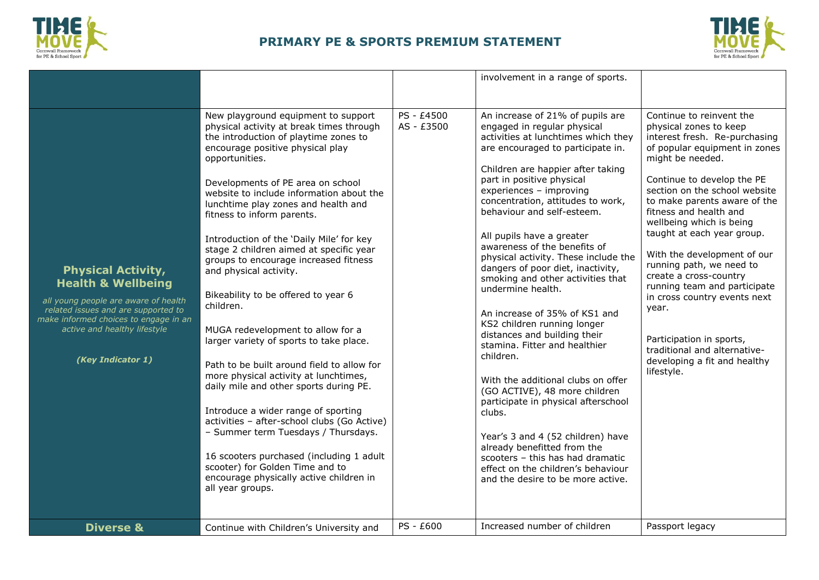



|                                                                                                                                                                                                                                                                 |                                                                                                                                                                                                                                                                                                                                                                                                                                                                                                                                                                                                                                                                                                                                                                                                                                                                                                                                                                                                                                                |                                       | involvement in a range of sports.                                                                                                                                                                                                                                                                                                                                                                                                                                                                                                                                                                                                                                                                                                                                                                                                                                                                                                                                                                        |                                                                                                                                                                                                                                                                                                                                                                                                                                                                                                                                                                                                                        |
|-----------------------------------------------------------------------------------------------------------------------------------------------------------------------------------------------------------------------------------------------------------------|------------------------------------------------------------------------------------------------------------------------------------------------------------------------------------------------------------------------------------------------------------------------------------------------------------------------------------------------------------------------------------------------------------------------------------------------------------------------------------------------------------------------------------------------------------------------------------------------------------------------------------------------------------------------------------------------------------------------------------------------------------------------------------------------------------------------------------------------------------------------------------------------------------------------------------------------------------------------------------------------------------------------------------------------|---------------------------------------|----------------------------------------------------------------------------------------------------------------------------------------------------------------------------------------------------------------------------------------------------------------------------------------------------------------------------------------------------------------------------------------------------------------------------------------------------------------------------------------------------------------------------------------------------------------------------------------------------------------------------------------------------------------------------------------------------------------------------------------------------------------------------------------------------------------------------------------------------------------------------------------------------------------------------------------------------------------------------------------------------------|------------------------------------------------------------------------------------------------------------------------------------------------------------------------------------------------------------------------------------------------------------------------------------------------------------------------------------------------------------------------------------------------------------------------------------------------------------------------------------------------------------------------------------------------------------------------------------------------------------------------|
|                                                                                                                                                                                                                                                                 |                                                                                                                                                                                                                                                                                                                                                                                                                                                                                                                                                                                                                                                                                                                                                                                                                                                                                                                                                                                                                                                |                                       |                                                                                                                                                                                                                                                                                                                                                                                                                                                                                                                                                                                                                                                                                                                                                                                                                                                                                                                                                                                                          |                                                                                                                                                                                                                                                                                                                                                                                                                                                                                                                                                                                                                        |
| <b>Physical Activity,</b><br><b>Health &amp; Wellbeing</b><br>all young people are aware of health<br>related issues and are supported to<br>make informed choices to engage in an<br>active and healthy lifestyle<br>(Key Indicator 1)<br><b>Diverse &amp;</b> | New playground equipment to support<br>physical activity at break times through<br>the introduction of playtime zones to<br>encourage positive physical play<br>opportunities.<br>Developments of PE area on school<br>website to include information about the<br>lunchtime play zones and health and<br>fitness to inform parents.<br>Introduction of the 'Daily Mile' for key<br>stage 2 children aimed at specific year<br>groups to encourage increased fitness<br>and physical activity.<br>Bikeability to be offered to year 6<br>children.<br>MUGA redevelopment to allow for a<br>larger variety of sports to take place.<br>Path to be built around field to allow for<br>more physical activity at lunchtimes,<br>daily mile and other sports during PE.<br>Introduce a wider range of sporting<br>activities - after-school clubs (Go Active)<br>- Summer term Tuesdays / Thursdays.<br>16 scooters purchased (including 1 adult<br>scooter) for Golden Time and to<br>encourage physically active children in<br>all year groups. | PS - £4500<br>AS - £3500<br>PS - £600 | An increase of 21% of pupils are<br>engaged in regular physical<br>activities at lunchtimes which they<br>are encouraged to participate in.<br>Children are happier after taking<br>part in positive physical<br>experiences - improving<br>concentration, attitudes to work,<br>behaviour and self-esteem.<br>All pupils have a greater<br>awareness of the benefits of<br>physical activity. These include the<br>dangers of poor diet, inactivity,<br>smoking and other activities that<br>undermine health.<br>An increase of 35% of KS1 and<br>KS2 children running longer<br>distances and building their<br>stamina. Fitter and healthier<br>children.<br>With the additional clubs on offer<br>(GO ACTIVE), 48 more children<br>participate in physical afterschool<br>clubs.<br>Year's 3 and 4 (52 children) have<br>already benefitted from the<br>scooters - this has had dramatic<br>effect on the children's behaviour<br>and the desire to be more active.<br>Increased number of children | Continue to reinvent the<br>physical zones to keep<br>interest fresh. Re-purchasing<br>of popular equipment in zones<br>might be needed.<br>Continue to develop the PE<br>section on the school website<br>to make parents aware of the<br>fitness and health and<br>wellbeing which is being<br>taught at each year group.<br>With the development of our<br>running path, we need to<br>create a cross-country<br>running team and participate<br>in cross country events next<br>year.<br>Participation in sports,<br>traditional and alternative-<br>developing a fit and healthy<br>lifestyle.<br>Passport legacy |
|                                                                                                                                                                                                                                                                 | Continue with Children's University and                                                                                                                                                                                                                                                                                                                                                                                                                                                                                                                                                                                                                                                                                                                                                                                                                                                                                                                                                                                                        |                                       |                                                                                                                                                                                                                                                                                                                                                                                                                                                                                                                                                                                                                                                                                                                                                                                                                                                                                                                                                                                                          |                                                                                                                                                                                                                                                                                                                                                                                                                                                                                                                                                                                                                        |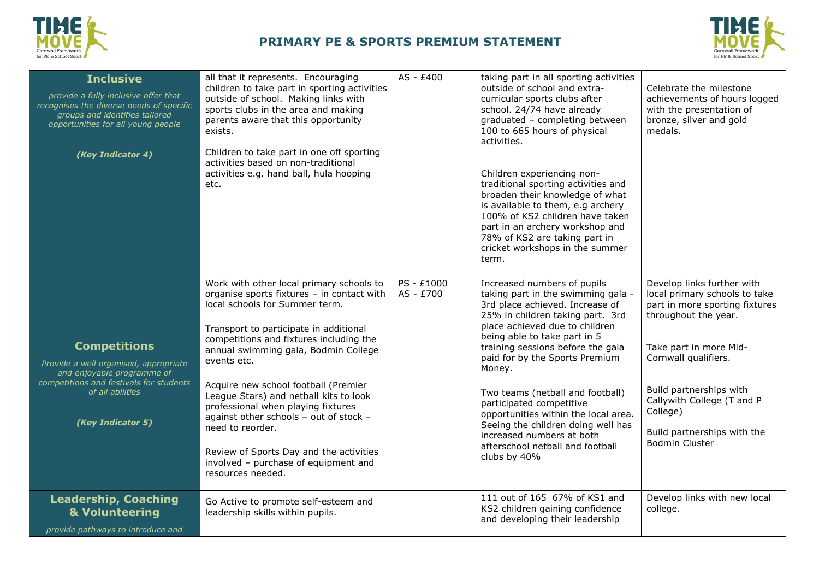



| <b>Inclusive</b><br>provide a fully inclusive offer that<br>recognises the diverse needs of specific<br>groups and identifies tailored<br>opportunities for all young people<br>(Key Indicator 4) | all that it represents. Encouraging<br>children to take part in sporting activities<br>outside of school. Making links with<br>sports clubs in the area and making<br>parents aware that this opportunity<br>exists.<br>Children to take part in one off sporting<br>activities based on non-traditional<br>activities e.g. hand ball, hula hooping<br>etc.                                                                                                                                                                                                        | AS - £400               | taking part in all sporting activities<br>outside of school and extra-<br>curricular sports clubs after<br>school. 24/74 have already<br>graduated - completing between<br>100 to 665 hours of physical<br>activities.<br>Children experiencing non-<br>traditional sporting activities and<br>broaden their knowledge of what<br>is available to them, e.g archery<br>100% of KS2 children have taken<br>part in an archery workshop and<br>78% of KS2 are taking part in<br>cricket workshops in the summer<br>term.     | Celebrate the milestone<br>achievements of hours logged<br>with the presentation of<br>bronze, silver and gold<br>medals.                                                                                                                                                                            |
|---------------------------------------------------------------------------------------------------------------------------------------------------------------------------------------------------|--------------------------------------------------------------------------------------------------------------------------------------------------------------------------------------------------------------------------------------------------------------------------------------------------------------------------------------------------------------------------------------------------------------------------------------------------------------------------------------------------------------------------------------------------------------------|-------------------------|----------------------------------------------------------------------------------------------------------------------------------------------------------------------------------------------------------------------------------------------------------------------------------------------------------------------------------------------------------------------------------------------------------------------------------------------------------------------------------------------------------------------------|------------------------------------------------------------------------------------------------------------------------------------------------------------------------------------------------------------------------------------------------------------------------------------------------------|
| <b>Competitions</b><br>Provide a well organised, appropriate<br>and enjoyable programme of<br>competitions and festivals for students<br>of all abilities<br>(Key Indicator 5)                    | Work with other local primary schools to<br>organise sports fixtures - in contact with<br>local schools for Summer term.<br>Transport to participate in additional<br>competitions and fixtures including the<br>annual swimming gala, Bodmin College<br>events etc.<br>Acquire new school football (Premier<br>League Stars) and netball kits to look<br>professional when playing fixtures<br>against other schools - out of stock -<br>need to reorder.<br>Review of Sports Day and the activities<br>involved - purchase of equipment and<br>resources needed. | PS - £1000<br>AS - £700 | Increased numbers of pupils<br>taking part in the swimming gala -<br>3rd place achieved. Increase of<br>25% in children taking part. 3rd<br>place achieved due to children<br>being able to take part in 5<br>training sessions before the gala<br>paid for by the Sports Premium<br>Money.<br>Two teams (netball and football)<br>participated competitive<br>opportunities within the local area.<br>Seeing the children doing well has<br>increased numbers at both<br>afterschool netball and football<br>clubs by 40% | Develop links further with<br>local primary schools to take<br>part in more sporting fixtures<br>throughout the year.<br>Take part in more Mid-<br>Cornwall qualifiers.<br>Build partnerships with<br>Callywith College (T and P<br>College)<br>Build partnerships with the<br><b>Bodmin Cluster</b> |
| <b>Leadership, Coaching</b><br>& Volunteering<br>provide pathways to introduce and                                                                                                                | Go Active to promote self-esteem and<br>leadership skills within pupils.                                                                                                                                                                                                                                                                                                                                                                                                                                                                                           |                         | 111 out of 165 67% of KS1 and<br>KS2 children gaining confidence<br>and developing their leadership                                                                                                                                                                                                                                                                                                                                                                                                                        | Develop links with new local<br>college.                                                                                                                                                                                                                                                             |